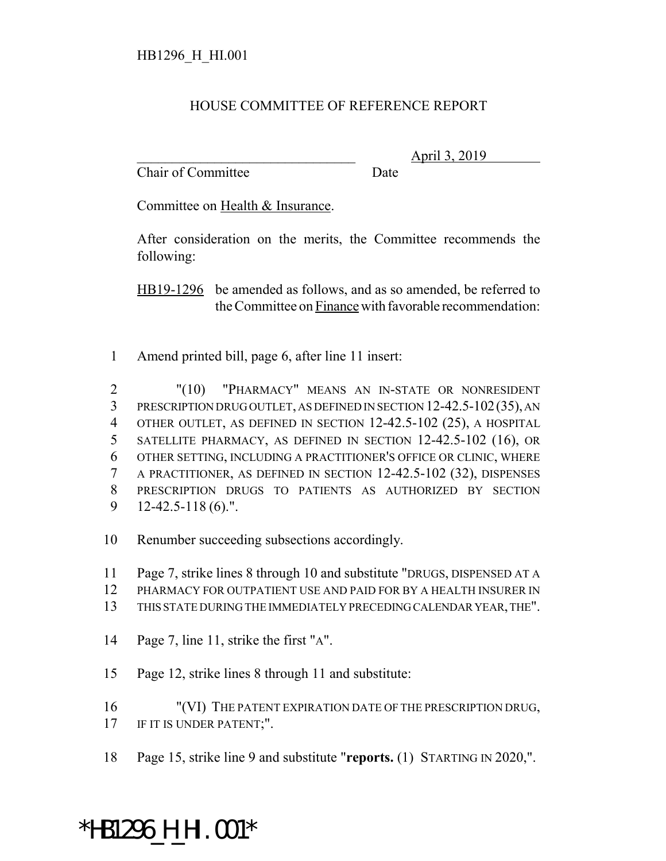## HOUSE COMMITTEE OF REFERENCE REPORT

Chair of Committee Date

\_\_\_\_\_\_\_\_\_\_\_\_\_\_\_\_\_\_\_\_\_\_\_\_\_\_\_\_\_\_\_ April 3, 2019

Committee on Health & Insurance.

After consideration on the merits, the Committee recommends the following:

HB19-1296 be amended as follows, and as so amended, be referred to the Committee on Finance with favorable recommendation:

1 Amend printed bill, page 6, after line 11 insert:

 "(10) "PHARMACY" MEANS AN IN-STATE OR NONRESIDENT 3 PRESCRIPTION DRUG OUTLET, AS DEFINED IN SECTION 12-42.5-102(35), AN OTHER OUTLET, AS DEFINED IN SECTION 12-42.5-102 (25), A HOSPITAL SATELLITE PHARMACY, AS DEFINED IN SECTION 12-42.5-102 (16), OR OTHER SETTING, INCLUDING A PRACTITIONER'S OFFICE OR CLINIC, WHERE A PRACTITIONER, AS DEFINED IN SECTION 12-42.5-102 (32), DISPENSES PRESCRIPTION DRUGS TO PATIENTS AS AUTHORIZED BY SECTION 12-42.5-118 (6).".

10 Renumber succeeding subsections accordingly.

11 Page 7, strike lines 8 through 10 and substitute "DRUGS, DISPENSED AT A

- 12 PHARMACY FOR OUTPATIENT USE AND PAID FOR BY A HEALTH INSURER IN
- 13 THIS STATE DURING THE IMMEDIATELY PRECEDING CALENDAR YEAR, THE".
- 14 Page 7, line 11, strike the first "A".
- 15 Page 12, strike lines 8 through 11 and substitute:

16 "(VI) THE PATENT EXPIRATION DATE OF THE PRESCRIPTION DRUG, 17 IF IT IS UNDER PATENT;".

18 Page 15, strike line 9 and substitute "**reports.** (1) STARTING IN 2020,".

## \*HB1296\_H\_HI.001\*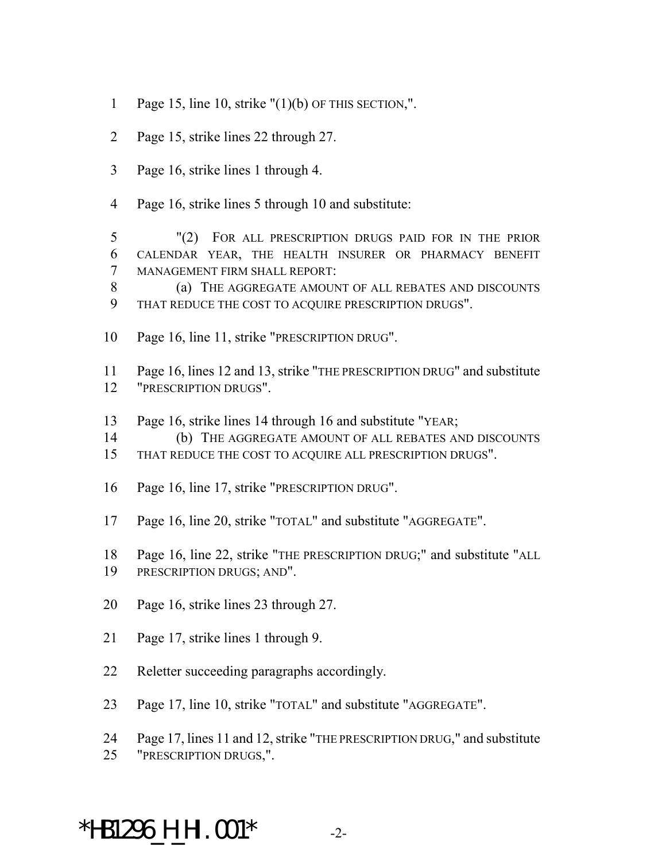- 1 Page 15, line 10, strike  $''(1)(b)$  OF THIS SECTION,".
- Page 15, strike lines 22 through 27.
- Page 16, strike lines 1 through 4.
- Page 16, strike lines 5 through 10 and substitute:

 "(2) FOR ALL PRESCRIPTION DRUGS PAID FOR IN THE PRIOR CALENDAR YEAR, THE HEALTH INSURER OR PHARMACY BENEFIT MANAGEMENT FIRM SHALL REPORT:

 (a) THE AGGREGATE AMOUNT OF ALL REBATES AND DISCOUNTS THAT REDUCE THE COST TO ACQUIRE PRESCRIPTION DRUGS".

Page 16, line 11, strike "PRESCRIPTION DRUG".

 Page 16, lines 12 and 13, strike "THE PRESCRIPTION DRUG" and substitute "PRESCRIPTION DRUGS".

- Page 16, strike lines 14 through 16 and substitute "YEAR;
- (b) THE AGGREGATE AMOUNT OF ALL REBATES AND DISCOUNTS
- THAT REDUCE THE COST TO ACQUIRE ALL PRESCRIPTION DRUGS".
- Page 16, line 17, strike "PRESCRIPTION DRUG".
- Page 16, line 20, strike "TOTAL" and substitute "AGGREGATE".
- Page 16, line 22, strike "THE PRESCRIPTION DRUG;" and substitute "ALL
- PRESCRIPTION DRUGS; AND".
- Page 16, strike lines 23 through 27.
- Page 17, strike lines 1 through 9.
- Reletter succeeding paragraphs accordingly.
- Page 17, line 10, strike "TOTAL" and substitute "AGGREGATE".
- Page 17, lines 11 and 12, strike "THE PRESCRIPTION DRUG," and substitute
- "PRESCRIPTION DRUGS,".

## \*HB1296\_H\_HI.001\* -2-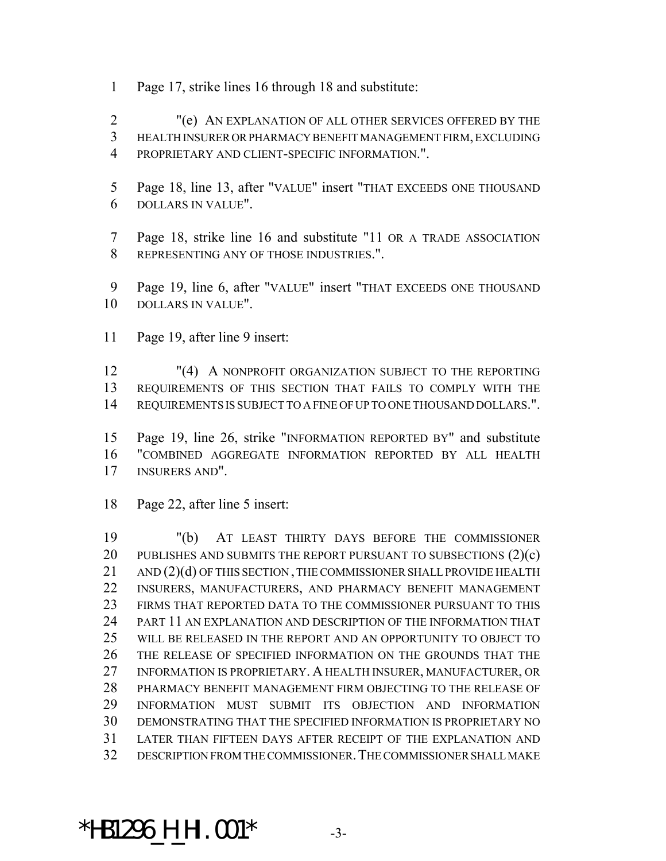Page 17, strike lines 16 through 18 and substitute:

 "(e) AN EXPLANATION OF ALL OTHER SERVICES OFFERED BY THE HEALTH INSURER OR PHARMACY BENEFIT MANAGEMENT FIRM, EXCLUDING PROPRIETARY AND CLIENT-SPECIFIC INFORMATION.".

- Page 18, line 13, after "VALUE" insert "THAT EXCEEDS ONE THOUSAND DOLLARS IN VALUE".
- Page 18, strike line 16 and substitute "11 OR A TRADE ASSOCIATION REPRESENTING ANY OF THOSE INDUSTRIES.".

 Page 19, line 6, after "VALUE" insert "THAT EXCEEDS ONE THOUSAND DOLLARS IN VALUE".

Page 19, after line 9 insert:

 "(4) A NONPROFIT ORGANIZATION SUBJECT TO THE REPORTING REQUIREMENTS OF THIS SECTION THAT FAILS TO COMPLY WITH THE REQUIREMENTS IS SUBJECT TO A FINE OF UP TO ONE THOUSAND DOLLARS.".

 Page 19, line 26, strike "INFORMATION REPORTED BY" and substitute "COMBINED AGGREGATE INFORMATION REPORTED BY ALL HEALTH INSURERS AND".

Page 22, after line 5 insert:

 "(b) AT LEAST THIRTY DAYS BEFORE THE COMMISSIONER 20 PUBLISHES AND SUBMITS THE REPORT PURSUANT TO SUBSECTIONS (2)(c) 21 AND (2)(d) OF THIS SECTION, THE COMMISSIONER SHALL PROVIDE HEALTH INSURERS, MANUFACTURERS, AND PHARMACY BENEFIT MANAGEMENT FIRMS THAT REPORTED DATA TO THE COMMISSIONER PURSUANT TO THIS PART 11 AN EXPLANATION AND DESCRIPTION OF THE INFORMATION THAT WILL BE RELEASED IN THE REPORT AND AN OPPORTUNITY TO OBJECT TO THE RELEASE OF SPECIFIED INFORMATION ON THE GROUNDS THAT THE INFORMATION IS PROPRIETARY. A HEALTH INSURER, MANUFACTURER, OR PHARMACY BENEFIT MANAGEMENT FIRM OBJECTING TO THE RELEASE OF INFORMATION MUST SUBMIT ITS OBJECTION AND INFORMATION DEMONSTRATING THAT THE SPECIFIED INFORMATION IS PROPRIETARY NO LATER THAN FIFTEEN DAYS AFTER RECEIPT OF THE EXPLANATION AND DESCRIPTION FROM THE COMMISSIONER.THE COMMISSIONER SHALL MAKE